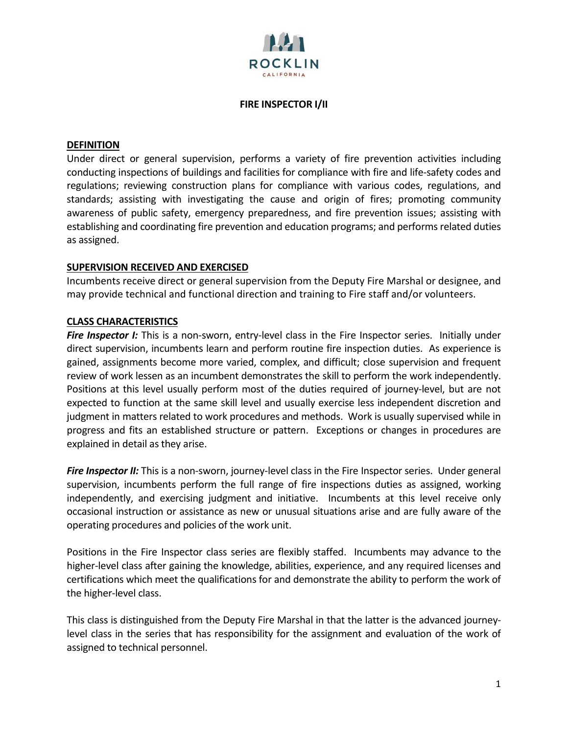

#### **FIRE INSPECTOR I/II**

#### **DEFINITION**

Under direct or general supervision, performs a variety of fire prevention activities including conducting inspections of buildings and facilities for compliance with fire and life-safety codes and regulations; reviewing construction plans for compliance with various codes, regulations, and standards; assisting with investigating the cause and origin of fires; promoting community awareness of public safety, emergency preparedness, and fire prevention issues; assisting with establishing and coordinating fire prevention and education programs; and performs related duties as assigned.

#### **SUPERVISION RECEIVED AND EXERCISED**

Incumbents receive direct or general supervision from the Deputy Fire Marshal or designee, and may provide technical and functional direction and training to Fire staff and/or volunteers.

#### **CLASS CHARACTERISTICS**

**Fire Inspector I:** This is a non-sworn, entry-level class in the Fire Inspector series. Initially under direct supervision, incumbents learn and perform routine fire inspection duties. As experience is gained, assignments become more varied, complex, and difficult; close supervision and frequent review of work lessen as an incumbent demonstrates the skill to perform the work independently. Positions at this level usually perform most of the duties required of journey-level, but are not expected to function at the same skill level and usually exercise less independent discretion and judgment in matters related to work procedures and methods. Work is usually supervised while in progress and fits an established structure or pattern. Exceptions or changes in procedures are explained in detail as they arise.

**Fire Inspector II:** This is a non-sworn, journey-level class in the Fire Inspector series. Under general supervision, incumbents perform the full range of fire inspections duties as assigned, working independently, and exercising judgment and initiative. Incumbents at this level receive only occasional instruction or assistance as new or unusual situations arise and are fully aware of the operating procedures and policies of the work unit.

Positions in the Fire Inspector class series are flexibly staffed. Incumbents may advance to the higher-level class after gaining the knowledge, abilities, experience, and any required licenses and certifications which meet the qualifications for and demonstrate the ability to perform the work of the higher-level class.

This class is distinguished from the Deputy Fire Marshal in that the latter is the advanced journeylevel class in the series that has responsibility for the assignment and evaluation of the work of assigned to technical personnel.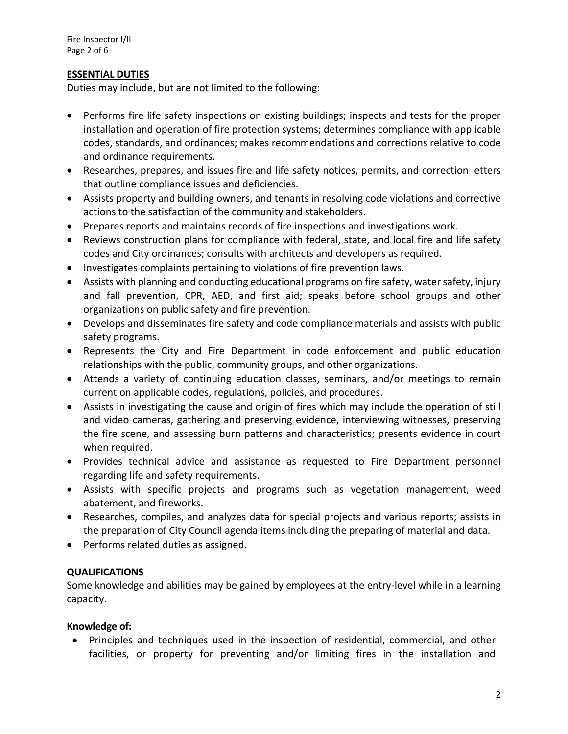### **ESSENTIAL DUTIES**

Duties may include, but are not limited to the following:

- Performs fire life safety inspections on existing buildings; inspects and tests for the proper installation and operation of fire protection systems; determines compliance with applicable codes, standards, and ordinances; makes recommendations and corrections relative to code and ordinance requirements.
- Researches, prepares, and issues fire and life safety notices, permits, and correction letters that outline compliance issues and deficiencies.
- Assists property and building owners, and tenants in resolving code violations and corrective actions to the satisfaction of the community and stakeholders.
- Prepares reports and maintains records of fire inspections and investigations work.
- Reviews construction plans for compliance with federal, state, and local fire and life safety codes and City ordinances; consults with architects and developers as required.
- Investigates complaints pertaining to violations of fire prevention laws.
- Assists with planning and conducting educational programs on fire safety, water safety, injury and fall prevention, CPR, AED, and first aid; speaks before school groups and other organizations on public safety and fire prevention.
- Develops and disseminates fire safety and code compliance materials and assists with public safety programs.
- Represents the City and Fire Department in code enforcement and public education relationships with the public, community groups, and other organizations.
- Attends a variety of continuing education classes, seminars, and/or meetings to remain current on applicable codes, regulations, policies, and procedures.
- Assists in investigating the cause and origin of fires which may include the operation of still and video cameras, gathering and preserving evidence, interviewing witnesses, preserving the fire scene, and assessing burn patterns and characteristics; presents evidence in court when required.
- Provides technical advice and assistance as requested to Fire Department personnel regarding life and safety requirements.
- Assists with specific projects and programs such as vegetation management, weed abatement, and fireworks.
- Researches, compiles, and analyzes data for special projects and various reports; assists in the preparation of City Council agenda items including the preparing of material and data.
- Performs related duties as assigned.

# **QUALIFICATIONS**

Some knowledge and abilities may be gained by employees at the entry-level while in a learning capacity.

# **Knowledge of:**

• Principles and techniques used in the inspection of residential, commercial, and other facilities, or property for preventing and/or limiting fires in the installation and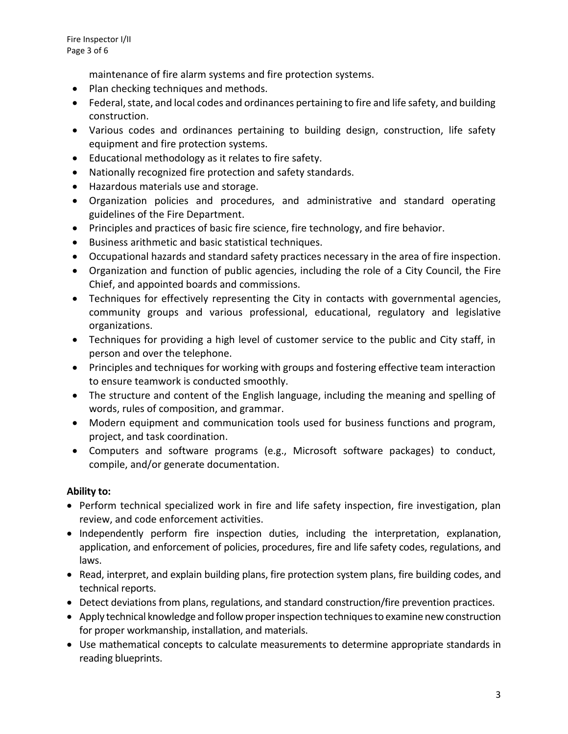maintenance of fire alarm systems and fire protection systems.

- Plan checking techniques and methods.
- Federal, state, and local codes and ordinances pertaining to fire and life safety, and building construction.
- Various codes and ordinances pertaining to building design, construction, life safety equipment and fire protection systems.
- Educational methodology as it relates to fire safety.
- Nationally recognized fire protection and safety standards.
- Hazardous materials use and storage.
- Organization policies and procedures, and administrative and standard operating guidelines of the Fire Department.
- Principles and practices of basic fire science, fire technology, and fire behavior.
- Business arithmetic and basic statistical techniques.
- Occupational hazards and standard safety practices necessary in the area of fire inspection.
- Organization and function of public agencies, including the role of a City Council, the Fire Chief, and appointed boards and commissions.
- Techniques for effectively representing the City in contacts with governmental agencies, community groups and various professional, educational, regulatory and legislative organizations.
- Techniques for providing a high level of customer service to the public and City staff, in person and over the telephone.
- Principles and techniques for working with groups and fostering effective team interaction to ensure teamwork is conducted smoothly.
- The structure and content of the English language, including the meaning and spelling of words, rules of composition, and grammar.
- Modern equipment and communication tools used for business functions and program, project, and task coordination.
- Computers and software programs (e.g., Microsoft software packages) to conduct, compile, and/or generate documentation.

#### **Ability to:**

- Perform technical specialized work in fire and life safety inspection, fire investigation, plan review, and code enforcement activities.
- Independently perform fire inspection duties, including the interpretation, explanation, application, and enforcement of policies, procedures, fire and life safety codes, regulations, and laws.
- Read, interpret, and explain building plans, fire protection system plans, fire building codes, and technical reports.
- Detect deviations from plans, regulations, and standard construction/fire prevention practices.
- Apply technical knowledge and follow proper inspection techniques to examine new construction for proper workmanship, installation, and materials.
- Use mathematical concepts to calculate measurements to determine appropriate standards in reading blueprints.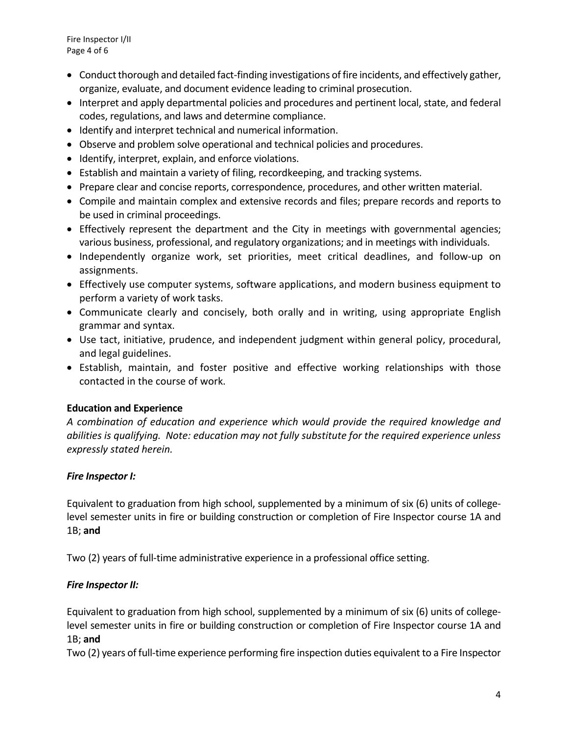Fire Inspector I/II Page 4 of 6

- Conduct thorough and detailed fact-finding investigations of fire incidents, and effectively gather, organize, evaluate, and document evidence leading to criminal prosecution.
- Interpret and apply departmental policies and procedures and pertinent local, state, and federal codes, regulations, and laws and determine compliance.
- Identify and interpret technical and numerical information.
- Observe and problem solve operational and technical policies and procedures.
- Identify, interpret, explain, and enforce violations.
- Establish and maintain a variety of filing, recordkeeping, and tracking systems.
- Prepare clear and concise reports, correspondence, procedures, and other written material.
- Compile and maintain complex and extensive records and files; prepare records and reports to be used in criminal proceedings.
- Effectively represent the department and the City in meetings with governmental agencies; various business, professional, and regulatory organizations; and in meetings with individuals.
- Independently organize work, set priorities, meet critical deadlines, and follow-up on assignments.
- Effectively use computer systems, software applications, and modern business equipment to perform a variety of work tasks.
- Communicate clearly and concisely, both orally and in writing, using appropriate English grammar and syntax.
- Use tact, initiative, prudence, and independent judgment within general policy, procedural, and legal guidelines.
- Establish, maintain, and foster positive and effective working relationships with those contacted in the course of work.

# **Education and Experience**

*A combination of education and experience which would provide the required knowledge and abilities is qualifying. Note: education may not fully substitute for the required experience unless expressly stated herein.*

# *Fire Inspector I:*

Equivalent to graduation from high school, supplemented by a minimum of six (6) units of collegelevel semester units in fire or building construction or completion of Fire Inspector course 1A and 1B; **and**

Two (2) years of full-time administrative experience in a professional office setting.

# *Fire Inspector II:*

Equivalent to graduation from high school, supplemented by a minimum of six (6) units of collegelevel semester units in fire or building construction or completion of Fire Inspector course 1A and 1B; **and**

Two (2) years of full-time experience performing fire inspection duties equivalent to a Fire Inspector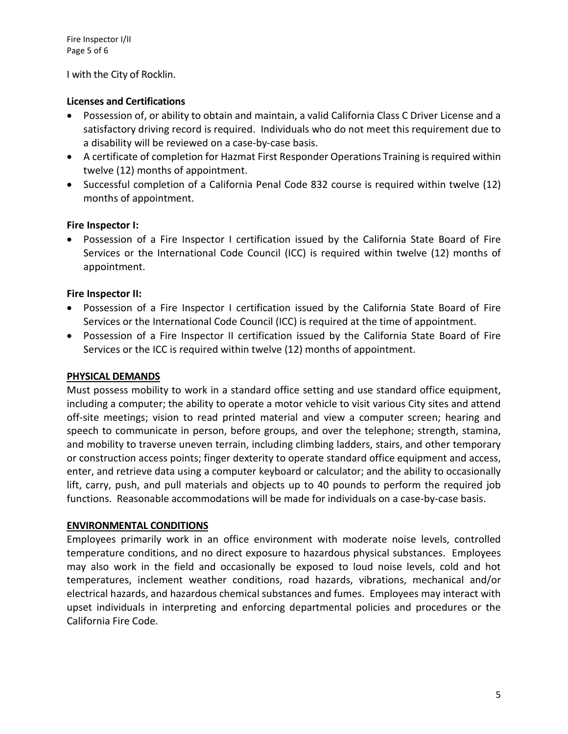I with the City of Rocklin.

# **Licenses and Certifications**

- Possession of, or ability to obtain and maintain, a valid California Class C Driver License and a satisfactory driving record is required. Individuals who do not meet this requirement due to a disability will be reviewed on a case-by-case basis.
- A certificate of completion for Hazmat First Responder Operations Training is required within twelve (12) months of appointment.
- Successful completion of a California Penal Code 832 course is required within twelve (12) months of appointment.

### **Fire Inspector I:**

• Possession of a Fire Inspector I certification issued by the California State Board of Fire Services or the International Code Council (ICC) is required within twelve (12) months of appointment.

### **Fire Inspector II:**

- Possession of a Fire Inspector I certification issued by the California State Board of Fire Services or the International Code Council (ICC) is required at the time of appointment.
- Possession of a Fire Inspector II certification issued by the California State Board of Fire Services or the ICC is required within twelve (12) months of appointment.

# **PHYSICAL DEMANDS**

Must possess mobility to work in a standard office setting and use standard office equipment, including a computer; the ability to operate a motor vehicle to visit various City sites and attend off-site meetings; vision to read printed material and view a computer screen; hearing and speech to communicate in person, before groups, and over the telephone; strength, stamina, and mobility to traverse uneven terrain, including climbing ladders, stairs, and other temporary or construction access points; finger dexterity to operate standard office equipment and access, enter, and retrieve data using a computer keyboard or calculator; and the ability to occasionally lift, carry, push, and pull materials and objects up to 40 pounds to perform the required job functions. Reasonable accommodations will be made for individuals on a case-by-case basis.

#### **ENVIRONMENTAL CONDITIONS**

Employees primarily work in an office environment with moderate noise levels, controlled temperature conditions, and no direct exposure to hazardous physical substances. Employees may also work in the field and occasionally be exposed to loud noise levels, cold and hot temperatures, inclement weather conditions, road hazards, vibrations, mechanical and/or electrical hazards, and hazardous chemical substances and fumes. Employees may interact with upset individuals in interpreting and enforcing departmental policies and procedures or the California Fire Code.